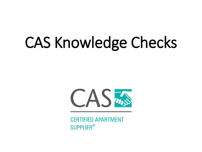# CAS Knowledge Checks



**CERTIFIED APARTMENT SUPPLIER®**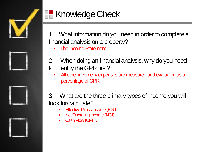

# **R** Knowledge Check

1. What information do you need in order to complete a financial analysis on a property?

• The Income Statement

- 2. When doing an financial analysis, why do you need to identify the GPR first?
	- All other income & expenses are measured and evaluated as a percentage of GPR

3. What are the three primary types of income you will look for/calculate?

- **Effective Gross Income (EGI)**
- Net Operating Income (NOI)
- Cash Flow (CF**) .**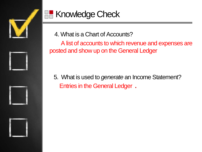

# **RE** Knowledge Check

4. What is a Chart of Accounts?

A list of accounts to which revenue and expenses are posted and show up on the General Ledger

5. What is used to *generate* an Income Statement? Entries in the General Ledger **.**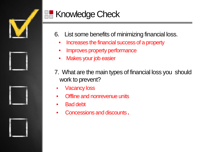

# **R** Knowledge Check

- 6. List some benefits of minimizing financial loss.
	- Increases the financial success of a property
	- Improves property performance
	- Makes your job easier
- 7. What are the main types of financial loss you should work to prevent?
	- **Vacancy loss**
	- **Offline and nonrevenue units**
- Bad debt
- Concessions and discounts **.**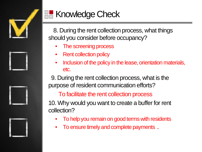

### **R** Knowledge Check

8. During the rent collection process, what things should you consider before occupancy?

- The screening process
- **Rent collection policy**
- Inclusion of the policy in the lease, orientation materials, etc.

9. During the rent collection process, what is the purpose of resident communication efforts?

To facilitate the rent collection process

10. Why would you want to create a buffer for rent collection?

- To help you remain on good terms with residents
- To ensure timely and complete payments **.**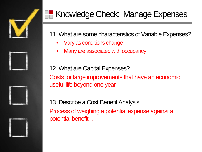

# **Knowledge Check: Manage Expenses**

- 11. What are some characteristics of Variable Expenses?
	- Vary as conditions change
	- Many are associated with occupancy

12. What are Capital Expenses? Costs for large improvements that have an economic useful life beyond one year

13. Describe a Cost Benefit Analysis. Process of weighing a potential expense against a potential benefit **.**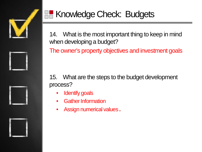

### **R** Knowledge Check: Budgets

14. What is the most important thing to keep in mind when developing a budget?

The owner's property objectives and investment goals

15. What are the steps to the budget development process?

- **Identify goals**
- Gather Information
- Assign numerical values **.**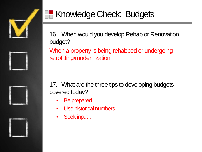

#### **Knowledge Check: Budgets**

16. When would you develop Rehab or Renovation budget?

When a property is being rehabbed or undergoing retrofitting/modernization

17. What are the three tips to developing budgets covered today?

- Be prepared
- Use historical numbers
- Seek input **.**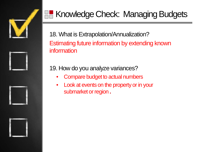

#### **Knowledge Check: Managing Budgets**

18. What is Extrapolation/Annualization? Estimating future information by extending known information

19. How do you analyze variances?

- Compare budget to actual numbers
- Look at events on the property or in your submarket or region **.**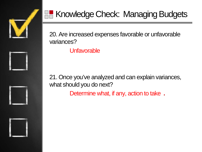

#### Knowledge Check: Managing Budgets

20. Are increased expenses favorable or unfavorable variances?

**Unfavorable** 

21. Once you've analyzed and can explain variances, what should you do next?

Determine what, if any, action to take **.**

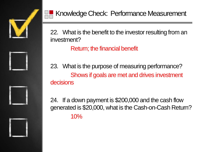

22. What is the benefit to the investor resulting from an investment?

Return; the financial benefit

23. What is the purpose of measuring performance? Shows if goals are met and drives investment decisions

24. If a down payment is \$200,000 and the cash flow generated is \$20,000, what is the Cash-on-Cash Return? 10%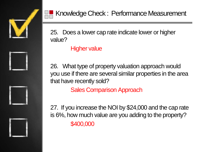

25. Does a lower cap rate indicate lower or higher value?

#### Higher value

26. What type of property valuation approach would you use if there are several similar properties in the area that have recently sold?

Sales Comparison Approach

27. If you increase the NOI by \$24,000 and the cap rate is 6%, how much value are you adding to the property? \$400,000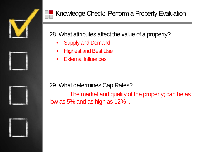

28. What attributes affect the value of a property?

- Supply and Demand
- Highest and Best Use
- **External Influences**

29. What determines Cap Rates?

The market and quality of the property; can be as low as 5% and as high as 12% .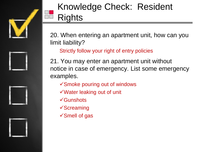

# Knowledge Check: Resident **Rights**

20. When entering an apartment unit, how can you limit liability?

Strictly follow your right of entry policies

21. You may enter an apartment unit without notice in case of emergency. List some emergency examples.

- Smoke pouring out of windows
- Water leaking out of unit
- **√Gunshots**
- $\checkmark$ Screaming
- $\sqrt{\rm S}$ mell of gas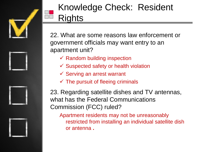

# Knowledge Check: Resident **Rights**

22. What are some reasons law enforcement or government officials may want entry to an apartment unit?

- $\checkmark$  Random building inspection
- $\checkmark$  Suspected safety or health violation
- $\checkmark$  Serving an arrest warrant
- $\checkmark$  The pursuit of fleeing criminals

23. Regarding satellite dishes and TV antennas, what has the Federal Communications Commission (FCC) ruled?

Apartment residents may not be unreasonably restricted from installing an individual satellite dish or antenna **.**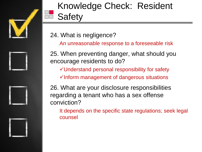

# Knowledge Check: Resident **Safety**

24. What is negligence?

An unreasonable response to a foreseeable risk

25. When preventing danger, what should you encourage residents to do?

Understand personal responsibility for safety

 $\checkmark$  Inform management of dangerous situations

26. What are your disclosure responsibilities regarding a tenant who has a sex offense conviction?

It depends on the specific state regulations; seek legal counsel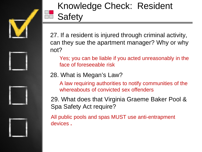

# Knowledge Check: Resident **Safety**

27. If a resident is injured through criminal activity, can they sue the apartment manager? Why or why not?

Yes; you can be liable if you acted unreasonably in the face of foreseeable risk

28. What is Megan's Law?

A law requiring authorities to notify communities of the whereabouts of convicted sex offenders

29. What does that Virginia Graeme Baker Pool & Spa Safety Act require?

All public pools and spas MUST use anti-entrapment devices **.**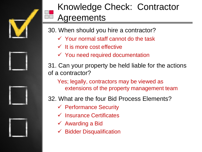

### Knowledge Check: Contractor **Agreements**

- 30. When should you hire a contractor?
	- $\checkmark$  Your normal staff cannot do the task
	- $\checkmark$  It is more cost effective
	- $\checkmark$  You need required documentation

31. Can your property be held liable for the actions of a contractor?

- Yes; legally, contractors may be viewed as extensions of the property management team
- 32. What are the four Bid Process Elements?
	- $\checkmark$  Performance Security
	- $\checkmark$  Insurance Certificates
	- $\checkmark$  Awarding a Bid
	- $\checkmark$  Bidder Disqualification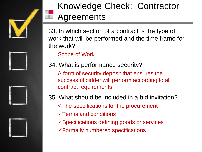

# Knowledge Check: Contractor **Agreements**

33. In which section of a contract is the type of work that will be performed and the time frame for the work?

Scope of Work

34. What is performance security?

A form of security deposit that ensures the successful bidder will perform according to all contract requirements

35. What should be included in a bid invitation?

- $\checkmark$ The specifications for the procurement
- $\sqrt{\ }$ Terms and conditions
- Specifications defining goods or services Formally numbered specifications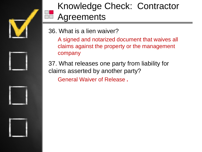

# Knowledge Check: Contractor **Agreements**

- 36. What is a lien waiver?
	- A signed and notarized document that waives all claims against the property or the management company
- 37. What releases one party from liability for claims asserted by another party? General Waiver of Release **.**

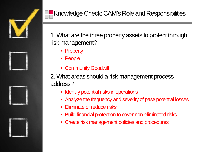

1. What are the three property assets to protect through risk management?

- Property
- People
- Community Goodwill

2. What areas should a risk management process address?

- Identify potential risks in operations
- Analyze the frequency and severity of past/ potential losses
- Eliminate or reduce risks
- Build financial protection to cover non-eliminated risks
- Create risk management policies and procedures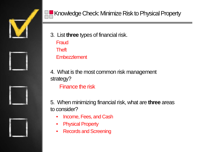



- 3. List **three** types of financial risk. **Fraud Theft** 
	- **Embezzlement**
- 4. What is the most common risk management strategy?
	- Finance the risk

5. When minimizing financial risk, what are **three** areas to consider?

- Income, Fees, and Cash
- Physical Property
- Records and Screening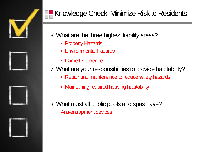

#### Knowledge Check: Minimize Risk to Residents

6. What are the three highest liability areas?

- Property Hazards
- Environmental Hazards
- Crime Deterrence
- 7. What are your responsibilities to provide habitability?
	- Repair and maintenance to reduce safety hazards
	- Maintaining required housing habitability
- 8. What must all public pools and spas have? Anti-entrapment devices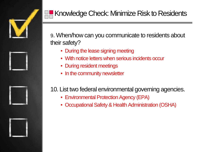

9. When/how can you communicate to residents about their safety?

- During the lease signing meeting
- With notice letters when serious incidents occur
- During resident meetings
- In the community newsletter

#### 10. List two federal environmental governing agencies.

- Environmental Protection Agency (EPA)
- Occupational Safety & Health Administration (OSHA)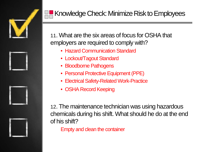

11. What are the six areas of focus for OSHA that employers are required to comply with?

- Hazard Communication Standard
- Lockout/Tagout Standard
- Bloodborne Pathogens
- Personal Protective Equipment (PPE)
- Electrical Safety-Related Work-Practice
- OSHA Record Keeping

12. The maintenance technician was using hazardous chemicals during his shift. What should he do at the end of his shift?

Empty and clean the container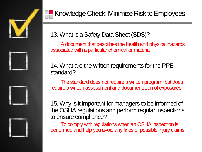



13. What is a Safety Data Sheet (SDS)?

A document that describes the health and physical hazards associated with a particular chemical or material

14. What are the written requirements for the PPE standard?

The standard does not require a written program, but does require a written assessment and documentation of exposures

15. Why is it important for managers to be informed of the OSHA regulations and perform regular inspections to ensure compliance?

To comply with regulations when an OSHA inspection is performed and help you avoid any fines or possible injury claims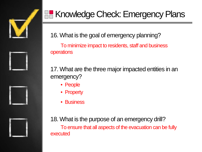

# **K** Knowledge Check: Emergency Plans

16. What is the goal of emergency planning? To minimize impact to residents, staff and business operations

17. What are the three major impacted entities in an emergency?

- People
- Property
- **Business**

18. What is the purpose of an emergency drill? To ensure that all aspects of the evacuation can be fully executed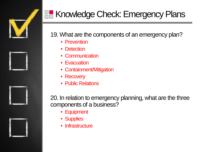

20. In relation to emergency planning, what are the three components of a business?

- Equipment
- Supplies
- Infrastructure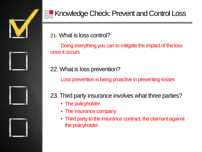



21. What is loss control?

Doing everything you can to mitigate the impact of the loss once it occurs

22. What is loss prevention?

Loss prevention is being proactive in preventing losses

23. Third party insurance involves what three parties?

- The policyholder
- The insurance company
- Third party to the insurance contract, the claimant against the policyholder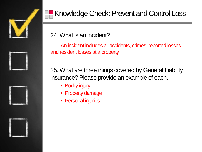

24. What is an incident?

An incident includes all accidents, crimes, reported losses and resident losses at a property

25. What are three things covered by General Liability insurance? Please provide an example of each.

- Bodily injury
- Property damage
- Personal injuries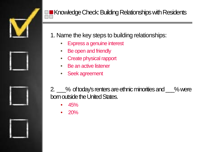

- 1. Name the key steps to building relationships:
	- Express a genuine interest
	- Be open and friendly
	- Create physical rapport
	- **Be an active listener**
	- Seek agreement

2. \_\_\_% of today's renters are ethnic minorities and \_\_\_% were born outside the United States.

- 45%
- 20%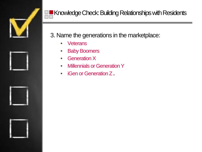

#### 3. Name the generations in the marketplace:

- Veterans
- Baby Boomers
- Generation X
- Millennials or Generation Y
- iGen or Generation Z **.**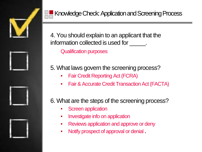

4. You should explain to an applicant that the information collected is used for  $\qquad \qquad$ .

Qualification purposes

5. What laws govern the screening process?

- Fair Credit Reporting Act (FCRA)
- Fair & Accurate Credit Transaction Act (FACTA)

6. What are the steps of the screening process?

- Screen application
- Investigate info on application
- Reviews application and approve or deny
- Notify prospect of approval or denial **.**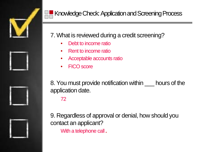

#### Knowledge Check: Application and Screening Process

7. What is reviewed during a credit screening?

- Debt to income ratio
- Rent to income ratio
- Acceptable accounts ratio
- FICO score

8. You must provide notification within hours of the application date.

72

9. Regardless of approval or denial, how should you contact an applicant?

With a telephone call **.**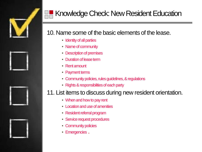

#### Knowledge Check: New Resident Education

#### 10. Name some of the basic elements of the lease.

- Identity of all parties
- Name of community
- Description of premises
- Duration of lease term
- Rent amount
- Payment terms
- Community policies, rules guidelines, & regulations
- Rights & responsibilities of each party

#### 11. List items to discuss during new resident orientation.

- When and how to pay rent
- Location and use of amenities
- Resident referral program
- Service request procedures
- Community policies
- Emergencies **.**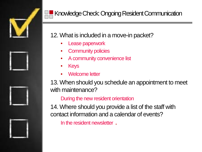

#### Knowledge Check: Ongoing Resident Communication

#### 12. What is included in a move-in packet?

- Lease paperwork
- **Community policies**
- A community convenience list
- Keys
- Welcome letter

13. When should you schedule an appointment to meet with maintenance?

#### During the new resident orientation

14. Where should you provide a list of the staff with contact information and a calendar of events?

In the resident newsletter **.**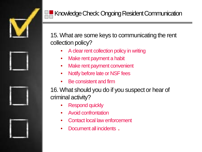

15. What are some keys to communicating the rent collection policy?

- A clear rent collection policy in writing
- Make rent payment a habit
- Make rent payment convenient
- Notify before late or NSF fees
- Be consistent and firm

16. What should you do if you suspect or hear of criminal activity?

- **Respond quickly**
- Avoid confrontation
- Contact local law enforcement
- Document all incidents **.**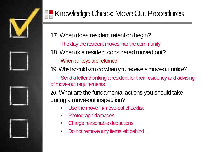

#### **Knowledge Check: Move Out Procedures**

17. When does resident retention begin?

The day the resident moves into the community

18. When is a resident considered moved out?

When all keys are returned

19. What should you do when you receive a move-out notice?

Send a letter thanking a resident for their residency and advising of move-out requirements

20. What are the fundamental actions you should take during a move-out inspection?

- Use the move-in/move-out checklist
- Photograph damages
- Charge reasonable deductions
- Do not remove any items left behind **.**